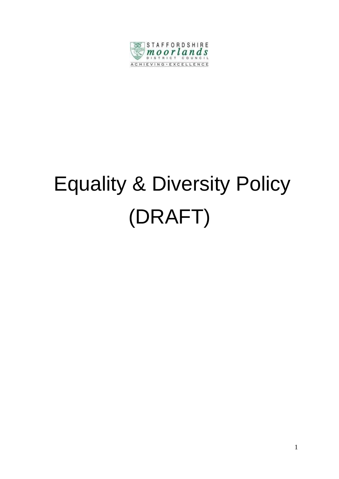

# Equality & Diversity Policy (DRAFT)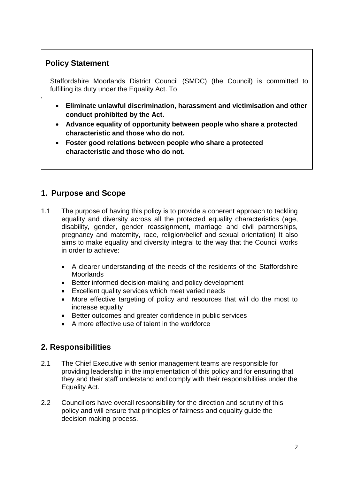## **Policy Statement**

 $\vert$ 

Staffordshire Moorlands District Council (SMDC) (the Council) is committed to fulfilling its duty under the Equality Act. To

- **Eliminate unlawful discrimination, harassment and victimisation and other conduct prohibited by the Act.**
- **Advance equality of opportunity between people who share a protected characteristic and those who do not.**
- **Foster good relations between people who share a protected characteristic and those who do not.**

## **1. Purpose and Scope**

- 1.1 The purpose of having this policy is to provide a coherent approach to tackling equality and diversity across all the protected equality characteristics (age, disability, gender, gender reassignment, marriage and civil partnerships, pregnancy and maternity, race, religion/belief and sexual orientation) It also aims to make equality and diversity integral to the way that the Council works in order to achieve:
	- A clearer understanding of the needs of the residents of the Staffordshire **Moorlands**
	- Better informed decision-making and policy development
	- Excellent quality services which meet varied needs
	- More effective targeting of policy and resources that will do the most to increase equality
	- Better outcomes and greater confidence in public services
	- A more effective use of talent in the workforce

### **2. Responsibilities**

- 2.1 The Chief Executive with senior management teams are responsible for providing leadership in the implementation of this policy and for ensuring that they and their staff understand and comply with their responsibilities under the Equality Act.
- 2.2 Councillors have overall responsibility for the direction and scrutiny of this policy and will ensure that principles of fairness and equality guide the decision making process.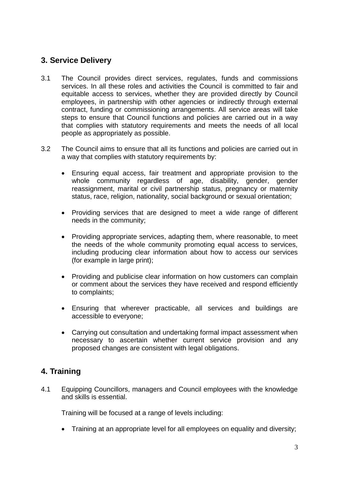### **3. Service Delivery**

- 3.1 The Council provides direct services, regulates, funds and commissions services. In all these roles and activities the Council is committed to fair and equitable access to services, whether they are provided directly by Council employees, in partnership with other agencies or indirectly through external contract, funding or commissioning arrangements. All service areas will take steps to ensure that Council functions and policies are carried out in a way that complies with statutory requirements and meets the needs of all local people as appropriately as possible.
- 3.2 The Council aims to ensure that all its functions and policies are carried out in a way that complies with statutory requirements by:
	- Ensuring equal access, fair treatment and appropriate provision to the whole community regardless of age, disability, gender, gender reassignment, marital or civil partnership status, pregnancy or maternity status, race, religion, nationality, social background or sexual orientation;
	- Providing services that are designed to meet a wide range of different needs in the community;
	- Providing appropriate services, adapting them, where reasonable, to meet the needs of the whole community promoting equal access to services, including producing clear information about how to access our services (for example in large print);
	- Providing and publicise clear information on how customers can complain or comment about the services they have received and respond efficiently to complaints;
	- Ensuring that wherever practicable, all services and buildings are accessible to everyone;
	- Carrying out consultation and undertaking formal impact assessment when necessary to ascertain whether current service provision and any proposed changes are consistent with legal obligations.

## **4. Training**

4.1 Equipping Councillors, managers and Council employees with the knowledge and skills is essential.

Training will be focused at a range of levels including:

• Training at an appropriate level for all employees on equality and diversity: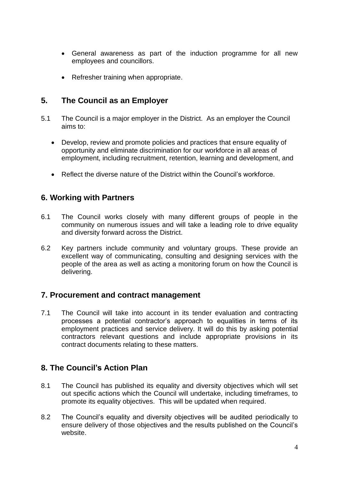- General awareness as part of the induction programme for all new employees and councillors.
- Refresher training when appropriate.

#### **5. The Council as an Employer**

- 5.1 The Council is a major employer in the District. As an employer the Council aims to:
	- Develop, review and promote policies and practices that ensure equality of opportunity and eliminate discrimination for our workforce in all areas of employment, including recruitment, retention, learning and development, and
	- Reflect the diverse nature of the District within the Council's workforce.

#### **6. Working with Partners**

- 6.1 The Council works closely with many different groups of people in the community on numerous issues and will take a leading role to drive equality and diversity forward across the District.
- 6.2 Key partners include community and voluntary groups. These provide an excellent way of communicating, consulting and designing services with the people of the area as well as acting a monitoring forum on how the Council is delivering.

#### **7. Procurement and contract management**

7.1 The Council will take into account in its tender evaluation and contracting processes a potential contractor's approach to equalities in terms of its employment practices and service delivery. It will do this by asking potential contractors relevant questions and include appropriate provisions in its contract documents relating to these matters.

#### **8. The Council's Action Plan**

- 8.1 The Council has published its equality and diversity objectives which will set out specific actions which the Council will undertake, including timeframes, to promote its equality objectives. This will be updated when required.
- 8.2 The Council's equality and diversity objectives will be audited periodically to ensure delivery of those objectives and the results published on the Council's website.